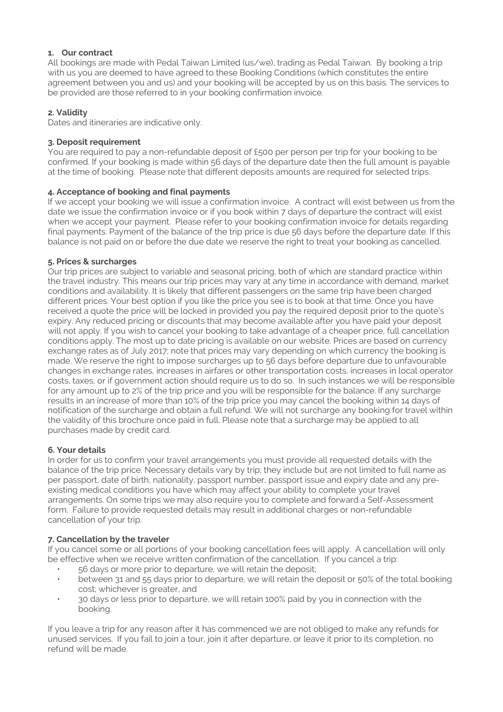#### **1. Our contract**

All bookings are made with Pedal Taiwan Limited (us/we), trading as Pedal Taiwan. By booking a trip with us you are deemed to have agreed to these Booking Conditions (which constitutes the entire agreement between you and us) and your booking will be accepted by us on this basis. The services to be provided are those referred to in your booking confirmation invoice.

# **2. Validity**

Dates and itineraries are indicative only.

## **3. Deposit requirement**

You are required to pay a non-refundable deposit of £500 per person per trip for your booking to be confirmed. If your booking is made within 56 days of the departure date then the full amount is payable at the time of booking. Please note that different deposits amounts are required for selected trips.

# **4. Acceptance of booking and final payments**

If we accept your booking we will issue a confirmation invoice. A contract will exist between us from the date we issue the confirmation invoice or if you book within 7 days of departure the contract will exist when we accept your payment. Please refer to your booking confirmation invoice for details regarding final payments. Payment of the balance of the trip price is due 56 days before the departure date. If this balance is not paid on or before the due date we reserve the right to treat your booking as cancelled.

## **5. Prices & surcharges**

Our trip prices are subject to variable and seasonal pricing, both of which are standard practice within the travel industry. This means our trip prices may vary at any time in accordance with demand, market conditions and availability. It is likely that different passengers on the same trip have been charged different prices. Your best option if you like the price you see is to book at that time. Once you have received a quote the price will be locked in provided you pay the required deposit prior to the quote's expiry. Any reduced pricing or discounts that may become available after you have paid your deposit will not apply. If you wish to cancel your booking to take advantage of a cheaper price, full cancellation conditions apply. The most up to date pricing is available on our website. Prices are based on currency exchange rates as of July 2017; note that prices may vary depending on which currency the booking is made. We reserve the right to impose surcharges up to 56 days before departure due to unfavourable changes in exchange rates, increases in airfares or other transportation costs, increases in local operator costs, taxes, or if government action should require us to do so. In such instances we will be responsible for any amount up to 2% of the trip price and you will be responsible for the balance. If any surcharge results in an increase of more than 10% of the trip price you may cancel the booking within 14 days of notification of the surcharge and obtain a full refund. We will not surcharge any booking for travel within the validity of this brochure once paid in full. Please note that a surcharge may be applied to all purchases made by credit card.

# **6. Your details**

In order for us to confirm your travel arrangements you must provide all requested details with the balance of the trip price. Necessary details vary by trip; they include but are not limited to full name as per passport, date of birth, nationality, passport number, passport issue and expiry date and any preexisting medical conditions you have which may affect your ability to complete your travel arrangements. On some trips we may also require you to complete and forward a Self-Assessment form. Failure to provide requested details may result in additional charges or non-refundable cancellation of your trip.

# **7. Cancellation by the traveler**

If you cancel some or all portions of your booking cancellation fees will apply. A cancellation will only be effective when we receive written confirmation of the cancellation. If you cancel a trip:

- 56 days or more prior to departure, we will retain the deposit;
- between 31 and 55 days prior to departure, we will retain the deposit or 50% of the total booking cost; whichever is greater, and
- 30 days or less prior to departure, we will retain 100% paid by you in connection with the booking.

If you leave a trip for any reason after it has commenced we are not obliged to make any refunds for unused services. If you fail to join a tour, join it after departure, or leave it prior to its completion, no refund will be made.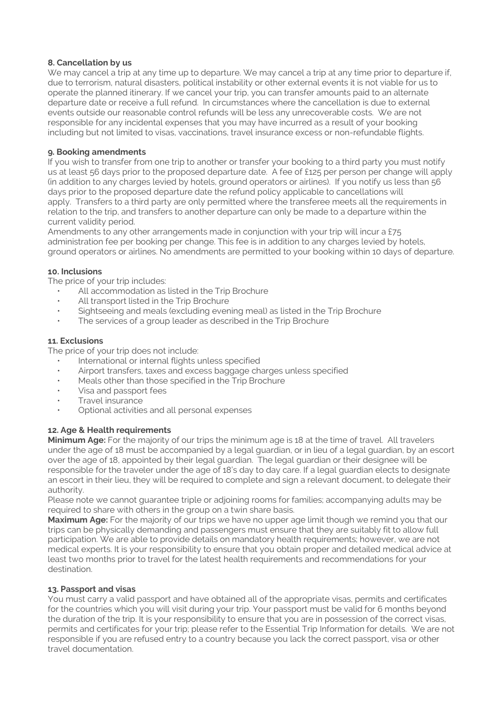## **8. Cancellation by us**

We may cancel a trip at any time up to departure. We may cancel a trip at any time prior to departure if, due to terrorism, natural disasters, political instability or other external events it is not viable for us to operate the planned itinerary. If we cancel your trip, you can transfer amounts paid to an alternate departure date or receive a full refund. In circumstances where the cancellation is due to external events outside our reasonable control refunds will be less any unrecoverable costs. We are not responsible for any incidental expenses that you may have incurred as a result of your booking including but not limited to visas, vaccinations, travel insurance excess or non-refundable flights.

## **9. Booking amendments**

If you wish to transfer from one trip to another or transfer your booking to a third party you must notify us at least 56 days prior to the proposed departure date. A fee of £125 per person per change will apply (in addition to any charges levied by hotels, ground operators or airlines). If you notify us less than 56 days prior to the proposed departure date the refund policy applicable to cancellations will apply. Transfers to a third party are only permitted where the transferee meets all the requirements in relation to the trip, and transfers to another departure can only be made to a departure within the current validity period.

Amendments to any other arrangements made in conjunction with your trip will incur a  $E75$ administration fee per booking per change. This fee is in addition to any charges levied by hotels, ground operators or airlines. No amendments are permitted to your booking within 10 days of departure.

## **10. Inclusions**

The price of your trip includes:

- All accommodation as listed in the Trip Brochure
- All transport listed in the Trip Brochure
- Sightseeing and meals (excluding evening meal) as listed in the Trip Brochure
- The services of a group leader as described in the Trip Brochure

#### **11. Exclusions**

The price of your trip does not include:

- International or internal flights unless specified
- Airport transfers, taxes and excess baggage charges unless specified
- Meals other than those specified in the Trip Brochure
- Visa and passport fees
- Travel insurance
- Optional activities and all personal expenses

# **12. Age & Health requirements**

**Minimum Age:** For the majority of our trips the minimum age is 18 at the time of travel. All travelers under the age of 18 must be accompanied by a legal guardian, or in lieu of a legal guardian, by an escort over the age of 18, appointed by their legal guardian. The legal guardian or their designee will be responsible for the traveler under the age of 18's day to day care. If a legal guardian elects to designate an escort in their lieu, they will be required to complete and sign a relevant document, to delegate their authority.

Please note we cannot guarantee triple or adjoining rooms for families; accompanying adults may be required to share with others in the group on a twin share basis.

**Maximum Age:** For the majority of our trips we have no upper age limit though we remind you that our trips can be physically demanding and passengers must ensure that they are suitably fit to allow full participation. We are able to provide details on mandatory health requirements; however, we are not medical experts. It is your responsibility to ensure that you obtain proper and detailed medical advice at least two months prior to travel for the latest health requirements and recommendations for your destination.

#### **13. Passport and visas**

You must carry a valid passport and have obtained all of the appropriate visas, permits and certificates for the countries which you will visit during your trip. Your passport must be valid for 6 months beyond the duration of the trip. It is your responsibility to ensure that you are in possession of the correct visas, permits and certificates for your trip; please refer to the Essential Trip Information for details. We are not responsible if you are refused entry to a country because you lack the correct passport, visa or other travel documentation.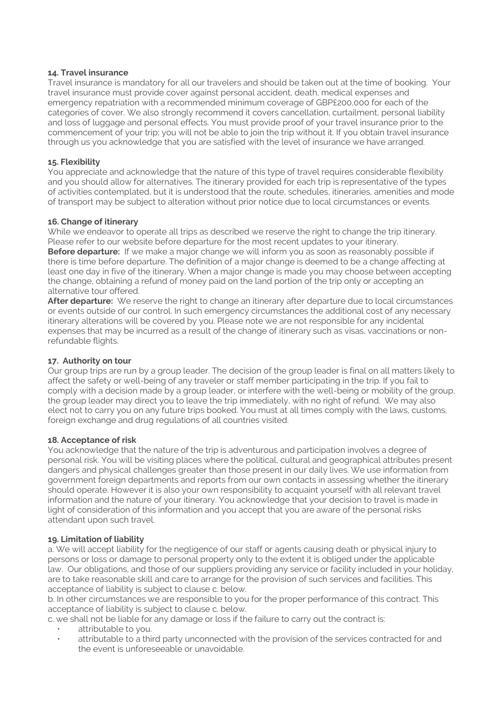## **14. Travel insurance**

Travel insurance is mandatory for all our travelers and should be taken out at the time of booking. Your travel insurance must provide cover against personal accident, death, medical expenses and emergency repatriation with a recommended minimum coverage of GBP£200,000 for each of the categories of cover. We also strongly recommend it covers cancellation, curtailment, personal liability and loss of luggage and personal effects. You must provide proof of your travel insurance prior to the commencement of your trip; you will not be able to join the trip without it. If you obtain travel insurance through us you acknowledge that you are satisfied with the level of insurance we have arranged.

## **15. Flexibility**

You appreciate and acknowledge that the nature of this type of travel requires considerable flexibility and you should allow for alternatives. The itinerary provided for each trip is representative of the types of activities contemplated, but it is understood that the route, schedules, itineraries, amenities and mode of transport may be subject to alteration without prior notice due to local circumstances or events.

## **16. Change of itinerary**

While we endeavor to operate all trips as described we reserve the right to change the trip itinerary. Please refer to our website before departure for the most recent updates to your itinerary. **Before departure:** If we make a major change we will inform you as soon as reasonably possible if there is time before departure. The definition of a major change is deemed to be a change affecting at least one day in five of the itinerary. When a major change is made you may choose between accepting the change, obtaining a refund of money paid on the land portion of the trip only or accepting an alternative tour offered.

**After departure:** We reserve the right to change an itinerary after departure due to local circumstances or events outside of our control. In such emergency circumstances the additional cost of any necessary itinerary alterations will be covered by you. Please note we are not responsible for any incidental expenses that may be incurred as a result of the change of itinerary such as visas, vaccinations or nonrefundable flights.

## **17. Authority on tour**

Our group trips are run by a group leader. The decision of the group leader is final on all matters likely to affect the safety or well-being of any traveler or staff member participating in the trip. If you fail to comply with a decision made by a group leader, or interfere with the well-being or mobility of the group, the group leader may direct you to leave the trip immediately, with no right of refund. We may also elect not to carry you on any future trips booked. You must at all times comply with the laws, customs, foreign exchange and drug regulations of all countries visited.

#### **18. Acceptance of risk**

You acknowledge that the nature of the trip is adventurous and participation involves a degree of personal risk. You will be visiting places where the political, cultural and geographical attributes present dangers and physical challenges greater than those present in our daily lives. We use information from government foreign departments and reports from our own contacts in assessing whether the itinerary should operate. However it is also your own responsibility to acquaint yourself with all relevant travel information and the nature of your itinerary. You acknowledge that your decision to travel is made in light of consideration of this information and you accept that you are aware of the personal risks attendant upon such travel.

# **19. Limitation of liability**

a. We will accept liability for the negligence of our staff or agents causing death or physical injury to persons or loss or damage to personal property only to the extent it is obliged under the applicable law. Our obligations, and those of our suppliers providing any service or facility included in your holiday, are to take reasonable skill and care to arrange for the provision of such services and facilities. This acceptance of liability is subject to clause c. below.

b. In other circumstances we are responsible to you for the proper performance of this contract. This acceptance of liability is subject to clause c. below.

c. we shall not be liable for any damage or loss if the failure to carry out the contract is:

- attributable to you.
- attributable to a third party unconnected with the provision of the services contracted for and the event is unforeseeable or unavoidable.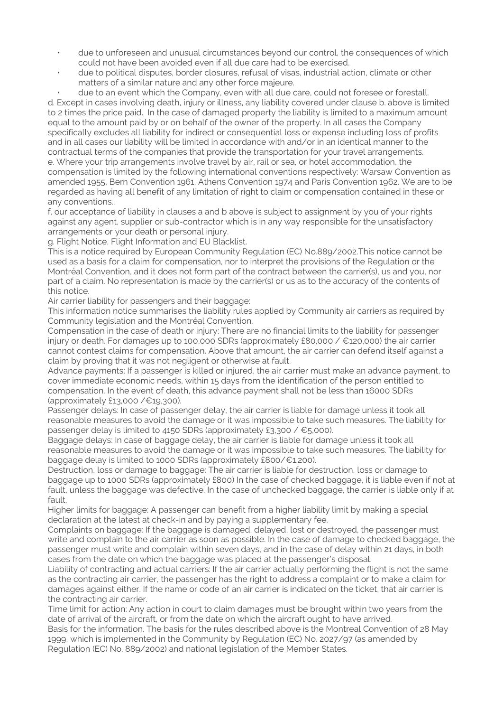- due to unforeseen and unusual circumstances beyond our control, the consequences of which could not have been avoided even if all due care had to be exercised.
- due to political disputes, border closures, refusal of visas, industrial action, climate or other matters of a similar nature and any other force majeure.

• due to an event which the Company, even with all due care, could not foresee or forestall. d. Except in cases involving death, injury or illness, any liability covered under clause b. above is limited to 2 times the price paid. In the case of damaged property the liability is limited to a maximum amount equal to the amount paid by or on behalf of the owner of the property. In all cases the Company specifically excludes all liability for indirect or consequential loss or expense including loss of profits and in all cases our liability will be limited in accordance with and/or in an identical manner to the contractual terms of the companies that provide the transportation for your travel arrangements. e. Where your trip arrangements involve travel by air, rail or sea, or hotel accommodation, the compensation is limited by the following international conventions respectively: Warsaw Convention as amended 1955, Bern Convention 1961, Athens Convention 1974 and Paris Convention 1962. We are to be regarded as having all benefit of any limitation of right to claim or compensation contained in these or any conventions..

f. our acceptance of liability in clauses a and b above is subject to assignment by you of your rights against any agent, supplier or sub-contractor which is in any way responsible for the unsatisfactory arrangements or your death or personal injury.

g. Flight Notice, Flight Information and EU Blacklist.

This is a notice required by European Community Regulation (EC) No.889/2002.This notice cannot be used as a basis for a claim for compensation, nor to interpret the provisions of the Regulation or the Montréal Convention, and it does not form part of the contract between the carrier(s), us and you, nor part of a claim. No representation is made by the carrier(s) or us as to the accuracy of the contents of this notice.

Air carrier liability for passengers and their baggage:

This information notice summarises the liability rules applied by Community air carriers as required by Community legislation and the Montréal Convention.

Compensation in the case of death or injury: There are no financial limits to the liability for passenger injury or death. For damages up to 100,000 SDRs (approximately £80,000 / €120,000) the air carrier cannot contest claims for compensation. Above that amount, the air carrier can defend itself against a claim by proving that it was not negligent or otherwise at fault.

Advance payments: If a passenger is killed or injured, the air carrier must make an advance payment, to cover immediate economic needs, within 15 days from the identification of the person entitled to compensation. In the event of death, this advance payment shall not be less than 16000 SDRs (approximately £13,000 /€19,300).

Passenger delays: In case of passenger delay, the air carrier is liable for damage unless it took all reasonable measures to avoid the damage or it was impossible to take such measures. The liability for passenger delay is limited to 4150 SDRs (approximately £3,300 / €5,000).

Baggage delays: In case of baggage delay, the air carrier is liable for damage unless it took all reasonable measures to avoid the damage or it was impossible to take such measures. The liability for baggage delay is limited to 1000 SDRs (approximately £800/€1,200).

Destruction, loss or damage to baggage: The air carrier is liable for destruction, loss or damage to baggage up to 1000 SDRs (approximately £800) In the case of checked baggage, it is liable even if not at fault, unless the baggage was defective. In the case of unchecked baggage, the carrier is liable only if at fault.

Higher limits for baggage: A passenger can benefit from a higher liability limit by making a special declaration at the latest at check-in and by paying a supplementary fee.

Complaints on baggage: If the baggage is damaged, delayed, lost or destroyed, the passenger must write and complain to the air carrier as soon as possible. In the case of damage to checked baggage, the passenger must write and complain within seven days, and in the case of delay within 21 days, in both cases from the date on which the baggage was placed at the passenger's disposal.

Liability of contracting and actual carriers: If the air carrier actually performing the flight is not the same as the contracting air carrier, the passenger has the right to address a complaint or to make a claim for damages against either. If the name or code of an air carrier is indicated on the ticket, that air carrier is the contracting air carrier.

Time limit for action: Any action in court to claim damages must be brought within two years from the date of arrival of the aircraft, or from the date on which the aircraft ought to have arrived.

Basis for the information. The basis for the rules described above is the Montreal Convention of 28 May 1999, which is implemented in the Community by Regulation (EC) No. 2027/97 (as amended by Regulation (EC) No. 889/2002) and national legislation of the Member States.